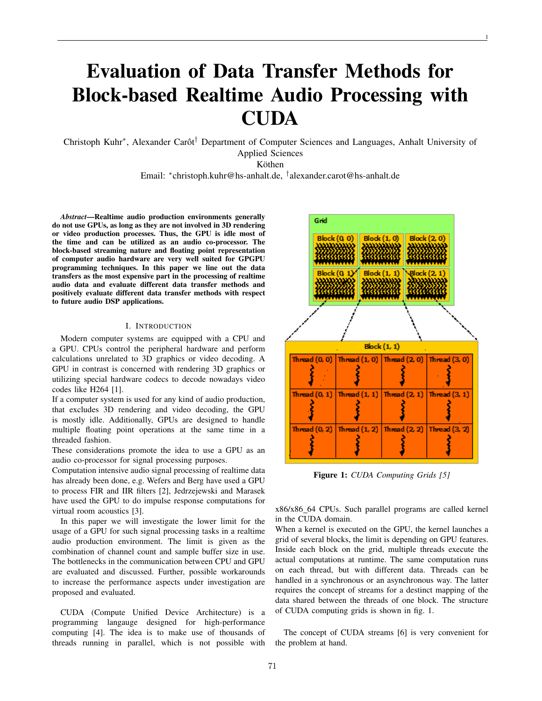# Evaluation of Data Transfer Methods for Block-based Realtime Audio Processing with **CUDA**

Christoph Kuhr<sup>∗</sup>, Alexander Carôt<sup>†</sup> Department of Computer Sciences and Languages, Anhalt University of Applied Sciences

Köthen

Email: ∗ christoph.kuhr@hs-anhalt.de, † alexander.carot@hs-anhalt.de

*Abstract*—Realtime audio production environments generally do not use GPUs, as long as they are not involved in 3D rendering or video production processes. Thus, the GPU is idle most of the time and can be utilized as an audio co-processor. The block-based streaming nature and floating point representation of computer audio hardware are very well suited for GPGPU programming techniques. In this paper we line out the data transfers as the most expensive part in the processing of realtime audio data and evaluate different data transfer methods and positively evaluate different data transfer methods with respect to future audio DSP applications.

# I. INTRODUCTION

Modern computer systems are equipped with a CPU and a GPU. CPUs control the peripheral hardware and perform calculations unrelated to 3D graphics or video decoding. A GPU in contrast is concerned with rendering 3D graphics or utilizing special hardware codecs to decode nowadays video codes like H264 [1].

If a computer system is used for any kind of audio production, that excludes 3D rendering and video decoding, the GPU is mostly idle. Additionally, GPUs are designed to handle multiple floating point operations at the same time in a threaded fashion.

These considerations promote the idea to use a GPU as an audio co-processor for signal processing purposes.

Computation intensive audio signal processing of realtime data has already been done, e.g. Wefers and Berg have used a GPU to process FIR and IIR filters [2], Jedrzejewski and Marasek have used the GPU to do impulse response computations for virtual room acoustics [3].

In this paper we will investigate the lower limit for the usage of a GPU for such signal processing tasks in a realtime audio production environment. The limit is given as the combination of channel count and sample buffer size in use. The bottlenecks in the communication between CPU and GPU are evaluated and discussed. Further, possible workarounds to increase the performance aspects under investigation are proposed and evaluated.

CUDA (Compute Unified Device Architecture) is a programming langauge designed for high-performance computing [4]. The idea is to make use of thousands of threads running in parallel, which is not possible with



1

Figure 1: *CUDA Computing Grids [5]*

x86/x86 64 CPUs. Such parallel programs are called kernel in the CUDA domain.

When a kernel is executed on the GPU, the kernel launches a grid of several blocks, the limit is depending on GPU features. Inside each block on the grid, multiple threads execute the actual computations at runtime. The same computation runs on each thread, but with different data. Threads can be handled in a synchronous or an asynchronous way. The latter requires the concept of streams for a destinct mapping of the data shared between the threads of one block. The structure of CUDA computing grids is shown in fig. 1.

The concept of CUDA streams [6] is very convenient for the problem at hand.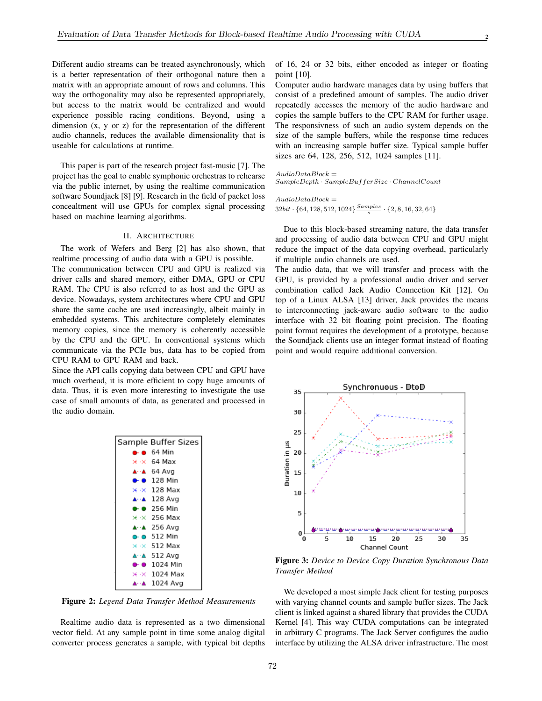Different audio streams can be treated asynchronously, which is a better representation of their orthogonal nature then a matrix with an appropriate amount of rows and columns. This way the orthogonality may also be represented appropriately, but access to the matrix would be centralized and would experience possible racing conditions. Beyond, using a dimension (x, y or z) for the representation of the different audio channels, reduces the available dimensionality that is useable for calculations at runtime.

This paper is part of the research project fast-music [7]. The project has the goal to enable symphonic orchestras to rehearse via the public internet, by using the realtime communication software Soundjack [8] [9]. Research in the field of packet loss concealtment will use GPUs for complex signal processing based on machine learning algorithms.

#### II. ARCHITECTURE

The work of Wefers and Berg [2] has also shown, that realtime processing of audio data with a GPU is possible.

The communication between CPU and GPU is realized via driver calls and shared memory, either DMA, GPU or CPU RAM. The CPU is also referred to as host and the GPU as device. Nowadays, system architectures where CPU and GPU share the same cache are used increasingly, albeit mainly in embedded systems. This architecture completely eleminates memory copies, since the memory is coherently accessible by the CPU and the GPU. In conventional systems which communicate via the PCIe bus, data has to be copied from CPU RAM to GPU RAM and back.

Since the API calls copying data between CPU and GPU have much overhead, it is more efficient to copy huge amounts of data. Thus, it is even more interesting to investigate the use case of small amounts of data, as generated and processed in the audio domain.

| Sample Buffer Sizes                     |
|-----------------------------------------|
| $\bullet$ 64 Min                        |
| $\times$ $\times$ 64 Max                |
| $\triangle$ $\cdot$ $\triangle$ 64 Avg  |
| $\bullet$ 0 128 Min                     |
| $\times$ $\times$ 128 Max               |
| $\triangle$ $\cdot$ $\triangle$ 128 Avg |
| $\bullet$ $\bullet$ 256 Min             |
| $\times$ $\times$ 256 Max               |
| $\triangle$ $\cdot$ $\triangle$ 256 Avg |
| $0.0$ 512 Min                           |
| $\times$ $\times$ 512 Max               |
| $\triangle$ -A 512 Avg                  |
| $- 1024$ Min                            |
| $\times$ $\times$ 1024 Max              |
| <b>∆∴∆</b> 1024 Avq                     |

Figure 2: *Legend Data Transfer Method Measurements*

Realtime audio data is represented as a two dimensional vector field. At any sample point in time some analog digital converter process generates a sample, with typical bit depths of 16, 24 or 32 bits, either encoded as integer or floating point [10].

Computer audio hardware manages data by using buffers that consist of a predefined amount of samples. The audio driver repeatedly accesses the memory of the audio hardware and copies the sample buffers to the CPU RAM for further usage. The responsivness of such an audio system depends on the size of the sample buffers, while the response time reduces with an increasing sample buffer size. Typical sample buffer sizes are 64, 128, 256, 512, 1024 samples [11].

 $AudioData Block =$ SampleDepth · SampleBuf ferSize · ChannelCount

 $AudioDataBlock =$  $32bit \cdot \{64, 128, 512, 1024\} \frac{Samples}{s} \cdot \{2, 8, 16, 32, 64\}$ 

Due to this block-based streaming nature, the data transfer and processing of audio data between CPU and GPU might reduce the impact of the data copying overhead, particularly if multiple audio channels are used.

The audio data, that we will transfer and process with the GPU, is provided by a professional audio driver and server combination called Jack Audio Connection Kit [12]. On top of a Linux ALSA [13] driver, Jack provides the means to interconnecting jack-aware audio software to the audio interface with 32 bit floating point precision. The floating point format requires the development of a prototype, because the Soundjack clients use an integer format instead of floating point and would require additional conversion.



Figure 3: *Device to Device Copy Duration Synchronous Data Transfer Method*

We developed a most simple Jack client for testing purposes with varying channel counts and sample buffer sizes. The Jack client is linked against a shared library that provides the CUDA Kernel [4]. This way CUDA computations can be integrated in arbitrary C programs. The Jack Server configures the audio interface by utilizing the ALSA driver infrastructure. The most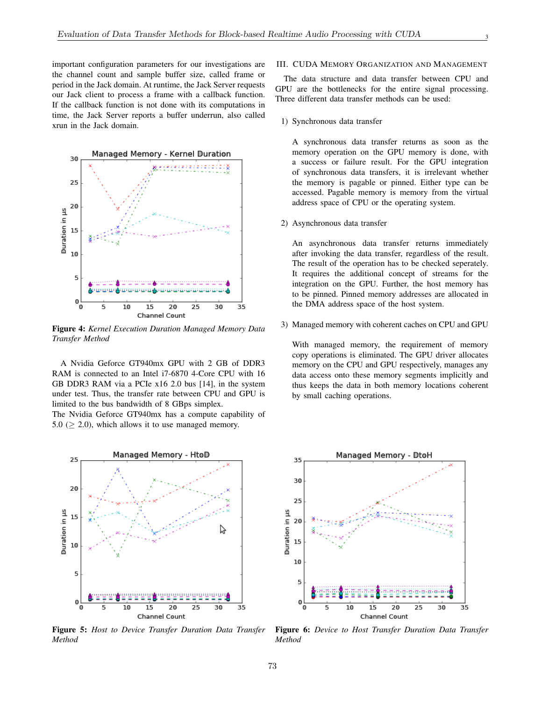important configuration parameters for our investigations are the channel count and sample buffer size, called frame or period in the Jack domain. At runtime, the Jack Server requests our Jack client to process a frame with a callback function. If the callback function is not done with its computations in time, the Jack Server reports a buffer underrun, also called xrun in the Jack domain.



Figure 4: *Kernel Execution Duration Managed Memory Data Transfer Method*

A Nvidia Geforce GT940mx GPU with 2 GB of DDR3 RAM is connected to an Intel i7-6870 4-Core CPU with 16 GB DDR3 RAM via a PCIe x16 2.0 bus [14], in the system under test. Thus, the transfer rate between CPU and GPU is limited to the bus bandwidth of 8 GBps simplex.

The Nvidia Geforce GT940mx has a compute capability of 5.0 ( $\geq$  2.0), which allows it to use managed memory.



Figure 5: *Host to Device Transfer Duration Data Transfer Method*

# III. CUDA MEMORY ORGANIZATION AND MANAGEMENT

3

The data structure and data transfer between CPU and GPU are the bottlenecks for the entire signal processing. Three different data transfer methods can be used:

1) Synchronous data transfer

A synchronous data transfer returns as soon as the memory operation on the GPU memory is done, with a success or failure result. For the GPU integration of synchronous data transfers, it is irrelevant whether the memory is pagable or pinned. Either type can be accessed. Pagable memory is memory from the virtual address space of CPU or the operating system.

2) Asynchronous data transfer

An asynchronous data transfer returns immediately after invoking the data transfer, regardless of the result. The result of the operation has to be checked seperately. It requires the additional concept of streams for the integration on the GPU. Further, the host memory has to be pinned. Pinned memory addresses are allocated in the DMA address space of the host system.

3) Managed memory with coherent caches on CPU and GPU

With managed memory, the requirement of memory copy operations is eliminated. The GPU driver allocates memory on the CPU and GPU respectively, manages any data access onto these memory segments implicitly and thus keeps the data in both memory locations coherent by small caching operations.



Figure 6: *Device to Host Transfer Duration Data Transfer Method*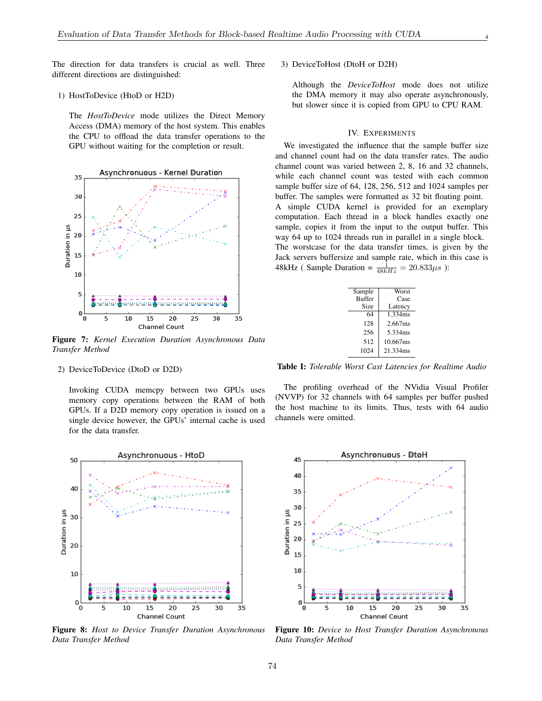The direction for data transfers is crucial as well. Three different directions are distinguished:

#### 1) HostToDevice (HtoD or H2D)

The *HostToDevice* mode utilizes the Direct Memory Access (DMA) memory of the host system. This enables the CPU to offload the data transfer operations to the GPU without waiting for the completion or result.



Figure 7: *Kernel Execution Duration Asynchronous Data Transfer Method*

# 2) DeviceToDevice (DtoD or D2D)

Invoking CUDA memcpy between two GPUs uses memory copy operations between the RAM of both GPUs. If a D2D memory copy operation is issued on a single device however, the GPUs' internal cache is used for the data transfer.



Figure 8: *Host to Device Transfer Duration Asynchronous Data Transfer Method*

3) DeviceToHost (DtoH or D2H)

Although the *DeviceToHost* mode does not utilize the DMA memory it may also operate asynchronously, but slower since it is copied from GPU to CPU RAM.

#### IV. EXPERIMENTS

We investigated the influence that the sample buffer size and channel count had on the data transfer rates. The audio channel count was varied between 2, 8, 16 and 32 channels, while each channel count was tested with each common sample buffer size of 64, 128, 256, 512 and 1024 samples per buffer. The samples were formatted as 32 bit floating point. A simple CUDA kernel is provided for an exemplary computation. Each thread in a block handles exactly one sample, copies it from the input to the output buffer. This way 64 up to 1024 threads run in parallel in a single block. The worstcase for the data transfer times, is given by the Jack servers buffersize and sample rate, which in this case is 48kHz ( Sample Duration =  $\frac{1}{48kHz} = 20.833\mu s$  ):

| Sample        | Worst    |
|---------------|----------|
| <b>Buffer</b> | Case     |
| Size          | Latency  |
| 64            | 1.334ms  |
| 128           | 2.667ms  |
| 256           | 5.334ms  |
| 512           | 10.667ms |
| 1024          | 21.334ms |

Table I: *Tolerable Worst Cast Latencies for Realtime Audio*

The profiling overhead of the NVidia Visual Profiler (NVVP) for 32 channels with 64 samples per buffer pushed the host machine to its limits. Thus, tests with 64 audio channels were omitted.



Figure 10: *Device to Host Transfer Duration Asynchronous Data Transfer Method*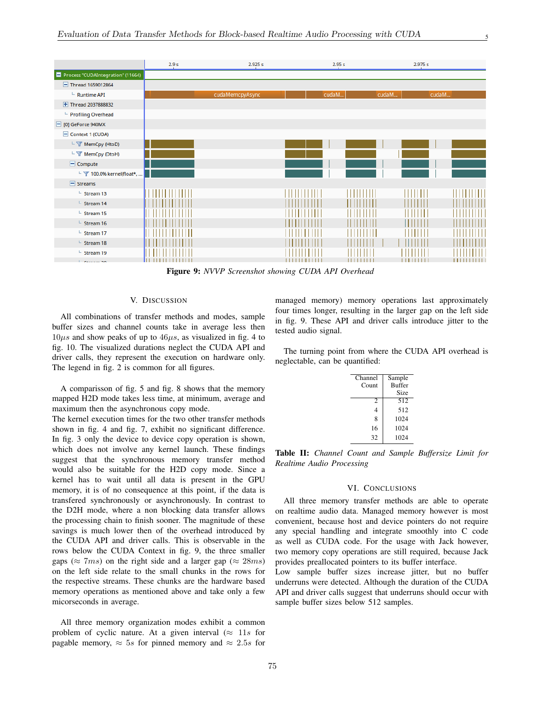

Figure 9: *NVVP Screenshot showing CUDA API Overhead*

#### V. DISCUSSION

All combinations of transfer methods and modes, sample buffer sizes and channel counts take in average less then  $10\mu s$  and show peaks of up to  $46\mu s$ , as visualized in fig. 4 to fig. 10. The visualized durations neglect the CUDA API and driver calls, they represent the execution on hardware only. The legend in fig. 2 is common for all figures.

A comparisson of fig. 5 and fig. 8 shows that the memory mapped H2D mode takes less time, at minimum, average and maximum then the asynchronous copy mode.

The kernel execution times for the two other transfer methods shown in fig. 4 and fig. 7, exhibit no significant difference. In fig. 3 only the device to device copy operation is shown, which does not involve any kernel launch. These findings suggest that the synchronous memory transfer method would also be suitable for the H2D copy mode. Since a kernel has to wait until all data is present in the GPU memory, it is of no consequence at this point, if the data is transfered synchronously or asynchronously. In contrast to the D2H mode, where a non blocking data transfer allows the processing chain to finish sooner. The magnitude of these savings is much lower then of the overhead introduced by the CUDA API and driver calls. This is observable in the rows below the CUDA Context in fig. 9, the three smaller gaps ( $\approx$  7ms) on the right side and a larger gap ( $\approx$  28ms) on the left side relate to the small chunks in the rows for the respective streams. These chunks are the hardware based memory operations as mentioned above and take only a few micorseconds in average.

All three memory organization modes exhibit a common problem of cyclic nature. At a given interval ( $\approx$  11s for pagable memory,  $\approx 5s$  for pinned memory and  $\approx 2.5s$  for

managed memory) memory operations last approximately four times longer, resulting in the larger gap on the left side in fig. 9. These API and driver calls introduce jitter to the tested audio signal.

5

The turning point from where the CUDA API overhead is neglectable, can be quantified:

| Channel      | Sample        |
|--------------|---------------|
| Count        | <b>Buffer</b> |
|              | Size          |
| 2            | 512           |
| 4            | 512           |
| $\mathbf{8}$ | 1024          |
| 16           | 1024          |
| 32           | 1024          |

Table II: *Channel Count and Sample Buffersize Limit for Realtime Audio Processing*

#### VI. CONCLUSIONS

All three memory transfer methods are able to operate on realtime audio data. Managed memory however is most convenient, because host and device pointers do not require any special handling and integrate smoothly into C code as well as CUDA code. For the usage with Jack however, two memory copy operations are still required, because Jack provides preallocated pointers to its buffer interface.

Low sample buffer sizes increase jitter, but no buffer underruns were detected. Although the duration of the CUDA API and driver calls suggest that underruns should occur with sample buffer sizes below 512 samples.